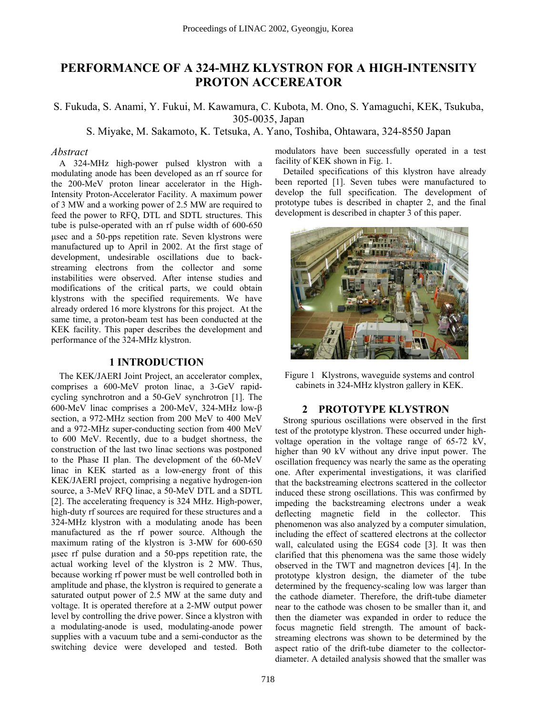# **PERFORMANCE OF A 324-MHZ KLYSTRON FOR A HIGH-INTENSITY PROTON ACCEREATOR**

S. Fukuda, S. Anami, Y. Fukui, M. Kawamura, C. Kubota, M. Ono, S. Yamaguchi, KEK, Tsukuba, 305-0035, Japan

S. Miyake, M. Sakamoto, K. Tetsuka, A. Yano, Toshiba, Ohtawara, 324-8550 Japan

#### *Abstract*

A 324-MHz high-power pulsed klystron with a modulating anode has been developed as an rf source for the 200-MeV proton linear accelerator in the High-Intensity Proton-Accelerator Facility. A maximum power of 3 MW and a working power of 2.5 MW are required to feed the power to RFQ, DTL and SDTL structures. This tube is pulse-operated with an rf pulse width of 600-650 µsec and a 50-pps repetition rate. Seven klystrons were manufactured up to April in 2002. At the first stage of development, undesirable oscillations due to backstreaming electrons from the collector and some instabilities were observed. After intense studies and modifications of the critical parts, we could obtain klystrons with the specified requirements. We have already ordered 16 more klystrons for this project. At the same time, a proton-beam test has been conducted at the KEK facility. This paper describes the development and performance of the 324-MHz klystron.

### **1 INTRODUCTION**

The KEK/JAERI Joint Project, an accelerator complex, comprises a 600-MeV proton linac, a 3-GeV rapidcycling synchrotron and a 50-GeV synchrotron [1]. The 600-MeV linac comprises a 200-MeV, 324-MHz low-β section, a 972-MHz section from 200 MeV to 400 MeV and a 972-MHz super-conducting section from 400 MeV to 600 MeV. Recently, due to a budget shortness, the construction of the last two linac sections was postponed to the Phase II plan. The development of the 60-MeV linac in KEK started as a low-energy front of this KEK/JAERI project, comprising a negative hydrogen-ion source, a 3-MeV RFQ linac, a 50-MeV DTL and a SDTL [2]. The accelerating frequency is 324 MHz. High-power, high-duty rf sources are required for these structures and a 324-MHz klystron with a modulating anode has been manufactured as the rf power source. Although the maximum rating of the klystron is 3-MW for 600-650 µsec rf pulse duration and a 50-pps repetition rate, the actual working level of the klystron is 2 MW. Thus, because working rf power must be well controlled both in amplitude and phase, the klystron is required to generate a saturated output power of 2.5 MW at the same duty and voltage. It is operated therefore at a 2-MW output power level by controlling the drive power. Since a klystron with a modulating-anode is used, modulating-anode power supplies with a vacuum tube and a semi-conductor as the switching device were developed and tested. Both

modulators have been successfully operated in a test facility of KEK shown in Fig. 1.

Detailed specifications of this klystron have already been reported [1]. Seven tubes were manufactured to develop the full specification. The development of prototype tubes is described in chapter 2, and the final development is described in chapter 3 of this paper.



Figure 1 Klystrons, waveguide systems and control cabinets in 324-MHz klystron gallery in KEK.

#### **2 PROTOTYPE KLYSTRON**

Strong spurious oscillations were observed in the first test of the prototype klystron. These occurred under highvoltage operation in the voltage range of 65-72 kV, higher than 90 kV without any drive input power. The oscillation frequency was nearly the same as the operating one. After experimental investigations, it was clarified that the backstreaming electrons scattered in the collector induced these strong oscillations. This was confirmed by impeding the backstreaming electrons under a weak deflecting magnetic field in the collector. This phenomenon was also analyzed by a computer simulation, including the effect of scattered electrons at the collector wall, calculated using the EGS4 code [3]. It was then clarified that this phenomena was the same those widely observed in the TWT and magnetron devices [4]. In the prototype klystron design, the diameter of the tube determined by the frequency-scaling low was larger than the cathode diameter. Therefore, the drift-tube diameter near to the cathode was chosen to be smaller than it, and then the diameter was expanded in order to reduce the focus magnetic field strength. The amount of backstreaming electrons was shown to be determined by the aspect ratio of the drift-tube diameter to the collectordiameter. A detailed analysis showed that the smaller was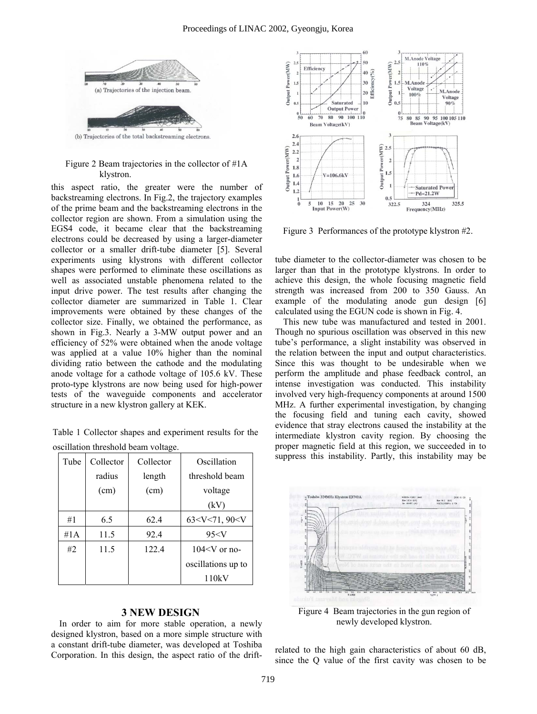

#### Figure 2 Beam trajectories in the collector of #1A klystron.

this aspect ratio, the greater were the number of backstreaming electrons. In Fig.2, the trajectory examples of the prime beam and the backstreaming electrons in the collector region are shown. From a simulation using the EGS4 code, it became clear that the backstreaming electrons could be decreased by using a larger-diameter collector or a smaller drift-tube diameter [5]. Several experiments using klystrons with different collector shapes were performed to eliminate these oscillations as well as associated unstable phenomena related to the input drive power. The test results after changing the collector diameter are summarized in Table 1. Clear improvements were obtained by these changes of the collector size. Finally, we obtained the performance, as shown in Fig.3. Nearly a 3-MW output power and an efficiency of 52% were obtained when the anode voltage was applied at a value 10% higher than the nominal dividing ratio between the cathode and the modulating anode voltage for a cathode voltage of 105.6 kV. These proto-type klystrons are now being used for high-power tests of the waveguide components and accelerator structure in a new klystron gallery at KEK.

Table 1 Collector shapes and experiment results for the oscillation threshold beam voltage.

| Tube | Collector | Collector | Oscillation        |
|------|-----------|-----------|--------------------|
|      | radius    | length    | threshold beam     |
|      | (cm)      | (cm)      | voltage            |
|      |           |           | (kV)               |
| #1   | 6.5       | 62.4      | 63 < V < 71,90 < V |
| #1A  | 11.5      | 92.4      | 95 < V             |
| #2   | 11.5      | 122.4     | $104 < V$ or no-   |
|      |           |           | oscillations up to |
|      |           |           | 110kV              |

## **3 NEW DESIGN**

In order to aim for more stable operation, a newly designed klystron, based on a more simple structure with a constant drift-tube diameter, was developed at Toshiba Corporation. In this design, the aspect ratio of the drift-



Figure 3 Performances of the prototype klystron #2.

tube diameter to the collector-diameter was chosen to be larger than that in the prototype klystrons. In order to achieve this design, the whole focusing magnetic field strength was increased from 200 to 350 Gauss. An example of the modulating anode gun design [6] calculated using the EGUN code is shown in Fig. 4.

This new tube was manufactured and tested in 2001. Though no spurious oscillation was observed in this new tube's performance, a slight instability was observed in the relation between the input and output characteristics. Since this was thought to be undesirable when we perform the amplitude and phase feedback control, an intense investigation was conducted. This instability involved very high-frequency components at around 1500 MHz. A further experimental investigation, by changing the focusing field and tuning each cavity, showed evidence that stray electrons caused the instability at the intermediate klystron cavity region. By choosing the proper magnetic field at this region, we succeeded in to suppress this instability. Partly, this instability may be



Figure 4 Beam trajectories in the gun region of newly developed klystron.

related to the high gain characteristics of about 60 dB, since the Q value of the first cavity was chosen to be